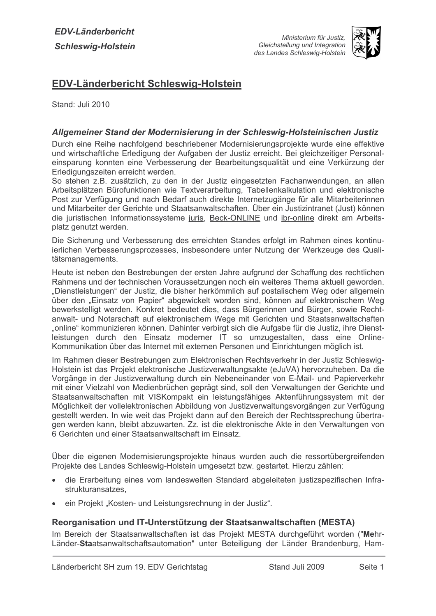

## EDV-Länderbericht Schleswig-Holstein

Stand: Juli 2010

## Allgemeiner Stand der Modernisierung in der Schleswig-Holsteinischen Justiz

Durch eine Reihe nachfolgend beschriebener Modernisierungsprojekte wurde eine effektive und wirtschaftliche Erledigung der Aufgaben der Justiz erreicht. Bei gleichzeitiger Personaleinsparung konnten eine Verbesserung der Bearbeitungsqualität und eine Verkürzung der Erledigungszeiten erreicht werden.

So stehen z.B. zusätzlich, zu den in der Justiz eingesetzten Fachanwendungen, an allen Arbeitsplätzen Bürofunktionen wie Textverarbeitung, Tabellenkalkulation und elektronische Post zur Verfügung und nach Bedarf auch direkte Internetzugänge für alle Mitarbeiterinnen und Mitarbeiter der Gerichte und Staatsanwaltschaften. Über ein Justizintranet (Just) können die juristischen Informationssysteme juris. Beck-ONLINE und ibr-online direkt am Arbeitsplatz genutzt werden.

Die Sicherung und Verbesserung des erreichten Standes erfolgt im Rahmen eines kontinuierlichen Verbesserungsprozesses, insbesondere unter Nutzung der Werkzeuge des Qualitätsmanagements.

Heute ist neben den Bestrebungen der ersten Jahre aufgrund der Schaffung des rechtlichen Rahmens und der technischen Voraussetzungen noch ein weiteres Thema aktuell geworden. "Dienstleistungen" der Justiz, die bisher herkömmlich auf postalischem Weg oder allgemein über den "Einsatz von Papier" abgewickelt worden sind, können auf elektronischem Weg bewerkstelligt werden. Konkret bedeutet dies, dass Bürgerinnen und Bürger, sowie Rechtanwalt- und Notarschaft auf elektronischem Wege mit Gerichten und Staatsanwaltschaften "online" kommunizieren können. Dahinter verbirgt sich die Aufgabe für die Justiz, ihre Dienstleistungen durch den Einsatz moderner IT so umzugestalten, dass eine Online-Kommunikation über das Internet mit externen Personen und Einrichtungen möglich ist.

Im Rahmen dieser Bestrebungen zum Elektronischen Rechtsverkehr in der Justiz Schleswig-Holstein ist das Projekt elektronische Justizverwaltungsakte (eJuVA) hervorzuheben. Da die Vorgänge in der Justizverwaltung durch ein Nebeneinander von E-Mail- und Papierverkehr mit einer Vielzahl von Medienbrüchen geprägt sind, soll den Verwaltungen der Gerichte und Staatsanwaltschaften mit VISKompakt ein leistungsfähiges Aktenführungssystem mit der Möglichkeit der vollelektronischen Abbildung von Justizverwaltungsvorgängen zur Verfügung gestellt werden. In wie weit das Projekt dann auf den Bereich der Rechtssprechung übertragen werden kann, bleibt abzuwarten. Zz. ist die elektronische Akte in den Verwaltungen von 6 Gerichten und einer Staatsanwaltschaft im Einsatz.

Über die eigenen Modernisierungsprojekte hinaus wurden auch die ressortübergreifenden Projekte des Landes Schleswig-Holstein umgesetzt bzw. gestartet. Hierzu zählen:

- die Erarbeitung eines vom landesweiten Standard abgeleiteten justizspezifischen Infrastrukturansatzes.
- ein Projekt "Kosten- und Leistungsrechnung in der Justiz".

## Reorganisation und IT-Unterstützung der Staatsanwaltschaften (MESTA)

Im Bereich der Staatsanwaltschaften ist das Projekt MESTA durchgeführt worden ("Mehr-Länder-Staatsanwaltschaftsautomation" unter Beteiligung der Länder Brandenburg, Ham-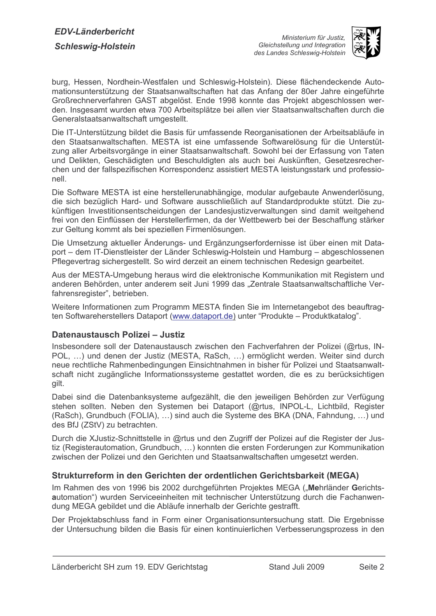

burg, Hessen, Nordhein-Westfalen und Schleswig-Holstein). Diese flächendeckende Automationsunterstützung der Staatsanwaltschaften hat das Anfang der 80er Jahre eingeführte Großrechnerverfahren GAST abgelöst. Ende 1998 konnte das Projekt abgeschlossen werden. Insgesamt wurden etwa 700 Arbeitsplätze bei allen vier Staatsanwaltschaften durch die Generalstaatsanwaltschaft umgestellt.

Die IT-Unterstützung bildet die Basis für umfassende Reorganisationen der Arbeitsabläufe in den Staatsanwaltschaften. MESTA ist eine umfassende Softwarelösung für die Unterstützung aller Arbeitsvorgänge in einer Staatsanwaltschaft. Sowohl bei der Erfassung von Taten und Delikten. Geschädigten und Beschuldigten als auch bei Auskünften. Gesetzesrecherchen und der fallspezifischen Korrespondenz assistiert MESTA leistungsstark und professionell.

Die Software MESTA ist eine herstellerunabhängige, modular aufgebaute Anwenderlösung, die sich bezüglich Hard- und Software ausschließlich auf Standardprodukte stützt. Die zukünftigen Investitionsentscheidungen der Landesjustizverwaltungen sind damit weitgehend frei von den Einflüssen der Herstellerfirmen, da der Wettbewerb bei der Beschaffung stärker zur Geltung kommt als bei speziellen Firmenlösungen.

Die Umsetzung aktueller Änderungs- und Ergänzungserfordernisse ist über einen mit Dataport – dem IT-Dienstleister der Länder Schleswig-Holstein und Hamburg – abgeschlossenen Pflegevertrag sichergestellt. So wird derzeit an einem technischen Redesign gearbeitet.

Aus der MESTA-Umgebung heraus wird die elektronische Kommunikation mit Registern und anderen Behörden, unter anderem seit Juni 1999 das "Zentrale Staatsanwaltschaftliche Verfahrensregister", betrieben.

Weitere Informationen zum Programm MESTA finden Sie im Internetangebot des beauftragten Softwareherstellers Dataport (www.dataport.de) unter "Produkte – Produktkatalog".

## Datenaustausch Polizei - Justiz

Insbesondere soll der Datenaustausch zwischen den Fachverfahren der Polizei (@rtus, IN-POL, ...) und denen der Justiz (MESTA, RaSch, ...) ermöglicht werden. Weiter sind durch neue rechtliche Rahmenbedingungen Einsichtnahmen in bisher für Polizei und Staatsanwaltschaft nicht zugängliche Informationssysteme gestattet worden, die es zu berücksichtigen gilt.

Dabei sind die Datenbanksysteme aufgezählt, die den jeweiligen Behörden zur Verfügung stehen sollten. Neben den Systemen bei Dataport (@rtus, INPOL-L, Lichtbild, Register (RaSch), Grundbuch (FOLIA), ...) sind auch die Systeme des BKA (DNA, Fahndung, ...) und des BfJ (ZStV) zu betrachten.

Durch die XJustiz-Schnittstelle in @rtus und den Zugriff der Polizei auf die Register der Justiz (Registerautomation, Grundbuch, ...) konnten die ersten Forderungen zur Kommunikation zwischen der Polizei und den Gerichten und Staatsanwaltschaften umgesetzt werden.

## Strukturreform in den Gerichten der ordentlichen Gerichtsbarkeit (MEGA)

Im Rahmen des von 1996 bis 2002 durchgeführten Projektes MEGA ("Mehrländer Gerichtsautomation") wurden Serviceeinheiten mit technischer Unterstützung durch die Fachanwendung MEGA gebildet und die Abläufe innerhalb der Gerichte gestrafft.

Der Projektabschluss fand in Form einer Organisationsuntersuchung statt. Die Ergebnisse der Untersuchung bilden die Basis für einen kontinuierlichen Verbesserungsprozess in den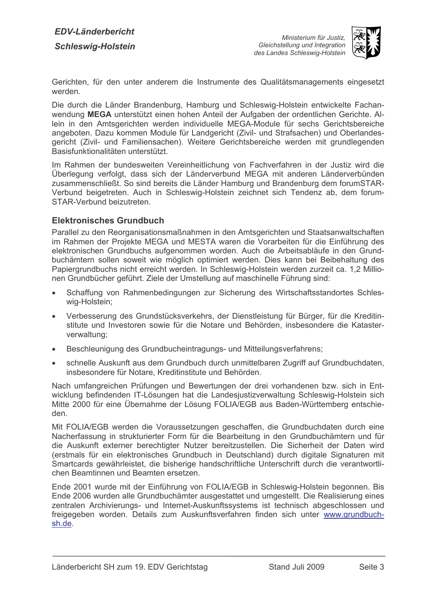

Gerichten, für den unter anderem die Instrumente des Qualitätsmanagements eingesetzt werden.

Die durch die Länder Brandenburg, Hamburg und Schleswig-Holstein entwickelte Fachanwendung MEGA unterstützt einen hohen Anteil der Aufgaben der ordentlichen Gerichte. Allein in den Amtsgerichten werden individuelle MEGA-Module für sechs Gerichtsbereiche angeboten. Dazu kommen Module für Landgericht (Zivil- und Strafsachen) und Oberlandesgericht (Zivil- und Familiensachen). Weitere Gerichtsbereiche werden mit grundlegenden Basisfunktionalitäten unterstützt.

Im Rahmen der bundesweiten Vereinheitlichung von Fachverfahren in der Justiz wird die Überlegung verfolgt, dass sich der Länderverbund MEGA mit anderen Länderverbünden zusammenschließt. So sind bereits die Länder Hamburg und Brandenburg dem forumSTAR-Verbund beigetreten. Auch in Schleswig-Holstein zeichnet sich Tendenz ab. dem forum-STAR-Verbund beizutreten.

#### **Elektronisches Grundbuch**

Parallel zu den Reorganisationsmaßnahmen in den Amtsgerichten und Staatsanwaltschaften im Rahmen der Projekte MEGA und MESTA waren die Vorarbeiten für die Einführung des elektronischen Grundbuchs aufgenommen worden. Auch die Arbeitsabläufe in den Grundbuchämtern sollen soweit wie möglich optimiert werden. Dies kann bei Beibehaltung des Papiergrundbuchs nicht erreicht werden. In Schleswig-Holstein werden zurzeit ca. 1.2 Millionen Grundbücher geführt. Ziele der Umstellung auf maschinelle Führung sind:

- Schaffung von Rahmenbedingungen zur Sicherung des Wirtschaftsstandortes Schleswig-Holstein:
- Verbesserung des Grundstücksverkehrs, der Dienstleistung für Bürger, für die Kreditinstitute und Investoren sowie für die Notare und Behörden, insbesondere die Katasterverwaltung:
- Beschleunigung des Grundbucheintragungs- und Mitteilungsverfahrens;  $\bullet$
- schnelle Auskunft aus dem Grundbuch durch unmittelbaren Zugriff auf Grundbuchdaten, insbesondere für Notare, Kreditinstitute und Behörden.

Nach umfangreichen Prüfungen und Bewertungen der drei vorhandenen bzw. sich in Entwicklung befindenden IT-Lösungen hat die Landesjustizverwaltung Schleswig-Holstein sich Mitte 2000 für eine Übernahme der Lösung FOLIA/EGB aus Baden-Württemberg entschieden

Mit FOLIA/EGB werden die Voraussetzungen geschaffen, die Grundbuchdaten durch eine Nacherfassung in strukturierter Form für die Bearbeitung in den Grundbuchämtern und für die Auskunft externer berechtigter Nutzer bereitzustellen. Die Sicherheit der Daten wird (erstmals für ein elektronisches Grundbuch in Deutschland) durch digitale Signaturen mit Smartcards gewährleistet, die bisherige handschriftliche Unterschrift durch die verantwortlichen Beamtinnen und Beamten ersetzen.

Ende 2001 wurde mit der Einführung von FOLIA/EGB in Schleswig-Holstein begonnen. Bis Ende 2006 wurden alle Grundbuchämter ausgestattet und umgestellt. Die Realisierung eines zentralen Archivierungs- und Internet-Auskunftssystems ist technisch abgeschlossen und freigegeben worden. Details zum Auskunftsverfahren finden sich unter www.grundbuchsh.de.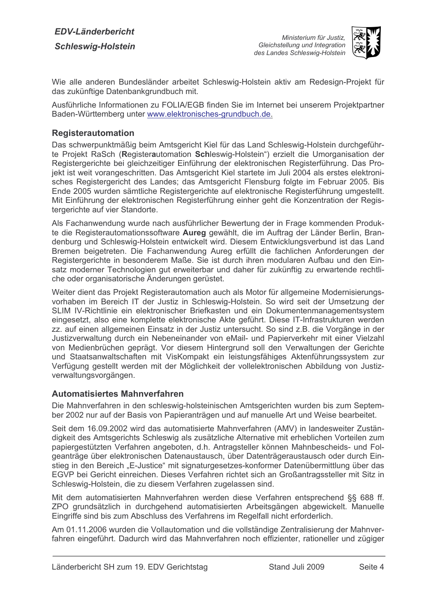

Wie alle anderen Bundesländer arbeitet Schleswig-Holstein aktiv am Redesign-Projekt für das zukünftige Datenbankgrundbuch mit.

Ausführliche Informationen zu FOLIA/EGB finden Sie im Internet bei unserem Projektpartner Baden-Württemberg unter www.elektronisches-grundbuch.de.

## **Registerautomation**

Das schwerpunktmäßig beim Amtsgericht Kiel für das Land Schleswig-Holstein durchgeführte Projekt RaSch (Registerautomation Schleswig-Holstein") erzielt die Umorganisation der Registergerichte bei gleichzeitiger Einführung der elektronischen Registerführung. Das Projekt ist weit vorangeschritten. Das Amtsgericht Kiel startete im Juli 2004 als erstes elektronisches Registergericht des Landes; das Amtsgericht Flensburg folgte im Februar 2005. Bis Ende 2005 wurden sämtliche Registergerichte auf elektronische Registerführung umgestellt. Mit Einführung der elektronischen Registerführung einher geht die Konzentration der Registergerichte auf vier Standorte.

Als Fachanwendung wurde nach ausführlicher Bewertung der in Frage kommenden Produkte die Registerautomationssoftware Aureg gewählt, die im Auftrag der Länder Berlin, Brandenburg und Schleswig-Holstein entwickelt wird. Diesem Entwicklungsverbund ist das Land Bremen beigetreten. Die Fachanwendung Aureg erfüllt die fachlichen Anforderungen der Registergerichte in besonderem Maße. Sie ist durch ihren modularen Aufbau und den Einsatz moderner Technologien gut erweiterbar und daher für zukünftig zu erwartende rechtliche oder organisatorische Änderungen gerüstet.

Weiter dient das Projekt Registerautomation auch als Motor für allgemeine Modernisierungsvorhaben im Bereich IT der Justiz in Schleswig-Holstein. So wird seit der Umsetzung der SLIM IV-Richtlinie ein elektronischer Briefkasten und ein Dokumentenmanagementsystem eingesetzt, also eine komplette elektronische Akte geführt. Diese IT-Infrastrukturen werden zz. auf einen allgemeinen Einsatz in der Justiz untersucht. So sind z.B. die Vorgänge in der Justizverwaltung durch ein Nebeneinander von eMail- und Papierverkehr mit einer Vielzahl von Medienbrüchen geprägt. Vor diesem Hintergrund soll den Verwaltungen der Gerichte und Staatsanwaltschaften mit VisKompakt ein leistungsfähiges Aktenführungssystem zur Verfügung gestellt werden mit der Möglichkeit der vollelektronischen Abbildung von Justizverwaltungsvorgängen.

## **Automatisiertes Mahnverfahren**

Die Mahnverfahren in den schleswig-holsteinischen Amtsgerichten wurden bis zum September 2002 nur auf der Basis von Papieranträgen und auf manuelle Art und Weise bearbeitet.

Seit dem 16.09.2002 wird das automatisierte Mahnverfahren (AMV) in landesweiter Zuständigkeit des Amtsgerichts Schleswig als zusätzliche Alternative mit erheblichen Vorteilen zum papiergestützten Verfahren angeboten, d.h. Antragsteller können Mahnbescheids- und Folgeanträge über elektronischen Datenaustausch, über Datenträgeraustausch oder durch Einstieg in den Bereich "E-Justice" mit signaturgesetzes-konformer Datenübermittlung über das EGVP bei Gericht einreichen. Dieses Verfahren richtet sich an Großantragssteller mit Sitz in Schleswig-Holstein, die zu diesem Verfahren zugelassen sind.

Mit dem automatisierten Mahnverfahren werden diese Verfahren entsprechend §§ 688 ff. ZPO grundsätzlich in durchgehend automatisierten Arbeitsgängen abgewickelt. Manuelle Eingriffe sind bis zum Abschluss des Verfahrens im Regelfall nicht erforderlich.

Am 01.11.2006 wurden die Vollautomation und die vollständige Zentralisierung der Mahnverfahren eingeführt. Dadurch wird das Mahnverfahren noch effizienter, rationeller und zügiger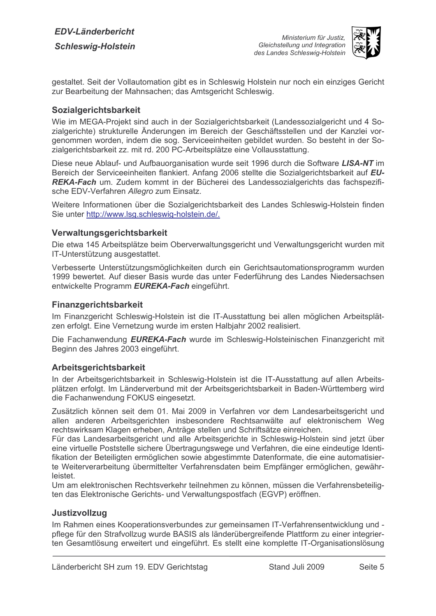

gestaltet. Seit der Vollautomation gibt es in Schleswig Holstein nur noch ein einziges Gericht zur Bearbeitung der Mahnsachen; das Amtsgericht Schleswig.

#### **Sozialgerichtsbarkeit**

Wie im MEGA-Projekt sind auch in der Sozialgerichtsbarkeit (Landessozialgericht und 4 Sozialgerichte) strukturelle Änderungen im Bereich der Geschäftsstellen und der Kanzlei vorgenommen worden, indem die sog. Serviceeinheiten gebildet wurden. So besteht in der Sozialgerichtsbarkeit zz. mit rd. 200 PC-Arbeitsplätze eine Vollausstattung.

Diese neue Ablauf- und Aufbauorganisation wurde seit 1996 durch die Software LISA-NT im Bereich der Serviceeinheiten flankiert. Anfang 2006 stellte die Sozialgerichtsbarkeit auf EU-REKA-Fach um. Zudem kommt in der Bücherei des Landessozialgerichts das fachspezifische EDV-Verfahren Allegro zum Einsatz.

Weitere Informationen über die Sozialgerichtsbarkeit des Landes Schleswig-Holstein finden Sie unter http://www.lsg.schleswig-holstein.de/.

#### Verwaltungsgerichtsbarkeit

Die etwa 145 Arbeitsplätze beim Oberverwaltungsgericht und Verwaltungsgericht wurden mit IT-Unterstützung ausgestattet.

Verbesserte Unterstützungsmöglichkeiten durch ein Gerichtsautomationsprogramm wurden 1999 bewertet. Auf dieser Basis wurde das unter Federführung des Landes Niedersachsen entwickelte Programm EUREKA-Fach eingeführt.

#### **Finanzgerichtsbarkeit**

Im Finanzgericht Schleswig-Holstein ist die IT-Ausstattung bei allen möglichen Arbeitsplätzen erfolgt. Eine Vernetzung wurde im ersten Halbjahr 2002 realisiert.

Die Fachanwendung EUREKA-Fach wurde im Schleswig-Holsteinischen Finanzgericht mit Beginn des Jahres 2003 eingeführt.

## Arbeitsgerichtsbarkeit

In der Arbeitsgerichtsbarkeit in Schleswig-Holstein ist die IT-Ausstattung auf allen Arbeitsplätzen erfolgt. Im Länderverbund mit der Arbeitsgerichtsbarkeit in Baden-Württemberg wird die Fachanwendung FOKUS eingesetzt.

Zusätzlich können seit dem 01. Mai 2009 in Verfahren vor dem Landesarbeitsgericht und allen anderen Arbeitsgerichten insbesondere Rechtsanwälte auf elektronischem Weg rechtswirksam Klagen erheben, Anträge stellen und Schriftsätze einreichen.

Für das Landesarbeitsgericht und alle Arbeitsgerichte in Schleswig-Holstein sind jetzt über eine virtuelle Poststelle sichere Übertragungswege und Verfahren, die eine eindeutige Identifikation der Beteiligten ermöglichen sowie abgestimmte Datenformate, die eine automatisierte Weiterverarbeitung übermittelter Verfahrensdaten beim Empfänger ermöglichen, gewährleistet.

Um am elektronischen Rechtsverkehr teilnehmen zu können, müssen die Verfahrensbeteiligten das Elektronische Gerichts- und Verwaltungspostfach (EGVP) eröffnen.

#### **Justizvollzug**

Im Rahmen eines Kooperationsverbundes zur gemeinsamen IT-Verfahrensentwicklung und pflege für den Strafvollzug wurde BASIS als länderübergreifende Plattform zu einer integrierten Gesamtlösung erweitert und eingeführt. Es stellt eine komplette IT-Organisationslösung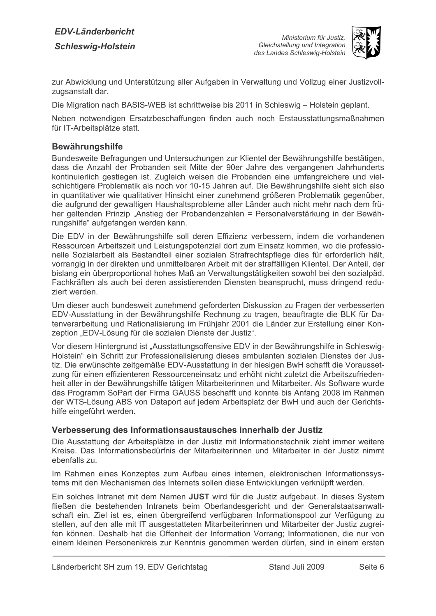

zur Abwicklung und Unterstützung aller Aufgaben in Verwaltung und Vollzug einer Justizvollzugsanstalt dar.

Die Migration nach BASIS-WEB ist schrittweise bis 2011 in Schleswig – Holstein geplant.

Neben notwendigen Ersatzbeschaffungen finden auch noch Erstausstattungsmaßnahmen für IT-Arbeitsplätze statt.

## **Bewährungshilfe**

Bundesweite Befragungen und Untersuchungen zur Klientel der Bewährungshilfe bestätigen, dass die Anzahl der Probanden seit Mitte der 90er Jahre des vergangenen Jahrhunderts kontinuierlich gestiegen ist. Zugleich weisen die Probanden eine umfangreichere und vielschichtigere Problematik als noch vor 10-15 Jahren auf. Die Bewährungshilfe sieht sich also in quantitativer wie qualitativer Hinsicht einer zunehmend größeren Problematik gegenüber, die aufgrund der gewaltigen Haushaltsprobleme aller Länder auch nicht mehr nach dem früher geltenden Prinzip "Anstieg der Probandenzahlen = Personalverstärkung in der Bewährungshilfe" aufgefangen werden kann.

Die EDV in der Bewährungshilfe soll deren Effizienz verbessern, indem die vorhandenen Ressourcen Arbeitszeit und Leistungspotenzial dort zum Einsatz kommen, wo die professionelle Sozialarbeit als Bestandteil einer sozialen Strafrechtspflege dies für erforderlich hält, vorrangig in der direkten und unmittelbaren Arbeit mit der straffälligen Klientel. Der Anteil, der bislang ein überproportional hohes Maß an Verwaltungstätigkeiten sowohl bei den sozialpäd. Fachkräften als auch bei deren assistierenden Diensten beansprucht, muss dringend reduziert werden.

Um dieser auch bundesweit zunehmend geforderten Diskussion zu Fragen der verbesserten EDV-Ausstattung in der Bewährungshilfe Rechnung zu tragen, beauftragte die BLK für Datenverarbeitung und Rationalisierung im Frühjahr 2001 die Länder zur Erstellung einer Konzeption "EDV-Lösung für die sozialen Dienste der Justiz".

Vor diesem Hintergrund ist "Ausstattungsoffensive EDV in der Bewährungshilfe in Schleswig-Holstein" ein Schritt zur Professionalisierung dieses ambulanten sozialen Dienstes der Justiz. Die erwünschte zeitgemäße EDV-Ausstattung in der hiesigen BwH schafft die Voraussetzung für einen effizienteren Ressourceneinsatz und erhöht nicht zuletzt die Arbeitszufriedenheit aller in der Bewährungshilfe tätigen Mitarbeiterinnen und Mitarbeiter. Als Software wurde das Programm SoPart der Firma GAUSS beschafft und konnte bis Anfang 2008 im Rahmen der WTS-Lösung ABS von Dataport auf jedem Arbeitsplatz der BwH und auch der Gerichtshilfe eingeführt werden.

## Verbesserung des Informationsaustausches innerhalb der Justiz

Die Ausstattung der Arbeitsplätze in der Justiz mit Informationstechnik zieht immer weitere Kreise. Das Informationsbedürfnis der Mitarbeiterinnen und Mitarbeiter in der Justiz nimmt ebenfalls zu.

Im Rahmen eines Konzeptes zum Aufbau eines internen, elektronischen Informationssystems mit den Mechanismen des Internets sollen diese Entwicklungen verknüpft werden.

Ein solches Intranet mit dem Namen JUST wird für die Justiz aufgebaut. In dieses System fließen die bestehenden Intranets beim Oberlandesgericht und der Generalstaatsanwaltschaft ein. Ziel ist es, einen übergreifend verfügbaren Informationspool zur Verfügung zu stellen, auf den alle mit IT ausgestatteten Mitarbeiterinnen und Mitarbeiter der Justiz zugreifen können. Deshalb hat die Offenheit der Information Vorrang: Informationen, die nur von einem kleinen Personenkreis zur Kenntnis genommen werden dürfen, sind in einem ersten